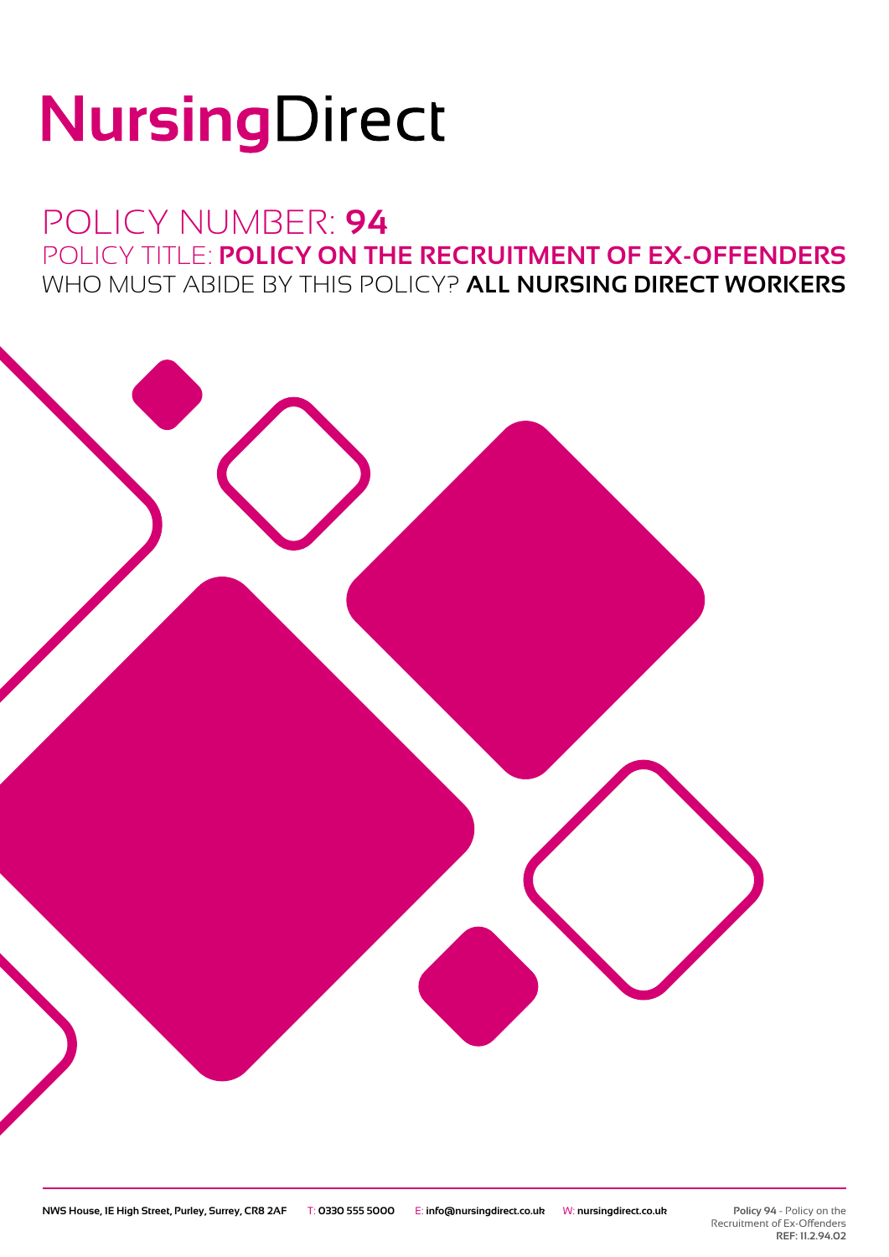# NursingDirect

### POLICY NUMBER: **94** POLICY TITLE: **POLICY ON THE RECRUITMENT OF EX-OFFENDERS** WHO MUST ABIDE BY THIS POLICY? **ALL NURSING DIRECT WORKERS**